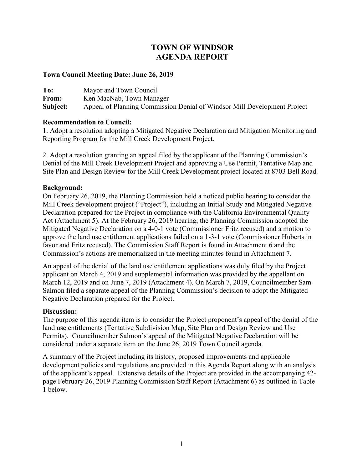# **TOWN OF WINDSOR AGENDA REPORT**

### **Town Council Meeting Date: June 26, 2019**

**To:** Mayor and Town Council From: Ken MacNab, Town Manager **Subject:** Appeal of Planning Commission Denial of Windsor Mill Development Project

### **Recommendation to Council:**

1. Adopt a resolution adopting a Mitigated Negative Declaration and Mitigation Monitoring and Reporting Program for the Mill Creek Development Project.

2. Adopt a resolution granting an appeal filed by the applicant of the Planning Commission's Denial of the Mill Creek Development Project and approving a Use Permit, Tentative Map and Site Plan and Design Review for the Mill Creek Development project located at 8703 Bell Road.

## **Background:**

On February 26, 2019, the Planning Commission held a noticed public hearing to consider the Mill Creek development project ("Project"), including an Initial Study and Mitigated Negative Declaration prepared for the Project in compliance with the California Environmental Quality Act (Attachment 5). At the February 26, 2019 hearing, the Planning Commission adopted the Mitigated Negative Declaration on a 4-0-1 vote (Commissioner Fritz recused) and a motion to approve the land use entitlement applications failed on a 1-3-1 vote (Commissioner Huberts in favor and Fritz recused). The Commission Staff Report is found in Attachment 6 and the Commission's actions are memorialized in the meeting minutes found in Attachment 7.

An appeal of the denial of the land use entitlement applications was duly filed by the Project applicant on March 4, 2019 and supplemental information was provided by the appellant on March 12, 2019 and on June 7, 2019 (Attachment 4). On March 7, 2019, Councilmember Sam Salmon filed a separate appeal of the Planning Commission's decision to adopt the Mitigated Negative Declaration prepared for the Project.

### **Discussion:**

The purpose of this agenda item is to consider the Project proponent's appeal of the denial of the land use entitlements (Tentative Subdivision Map, Site Plan and Design Review and Use Permits). Councilmember Salmon's appeal of the Mitigated Negative Declaration will be considered under a separate item on the June 26, 2019 Town Council agenda.

A summary of the Project including its history, proposed improvements and applicable development policies and regulations are provided in this Agenda Report along with an analysis of the applicant's appeal. Extensive details of the Project are provided in the accompanying 42 page February 26, 2019 Planning Commission Staff Report (Attachment 6) as outlined in Table 1 below.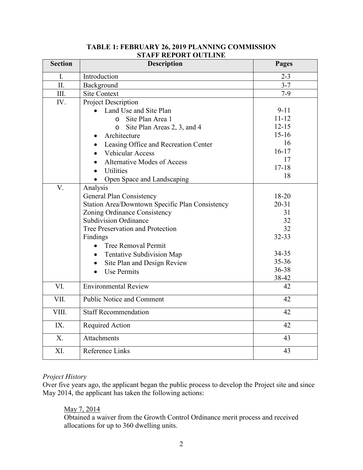| <b>Section</b> | <b>Description</b>                              | Pages           |
|----------------|-------------------------------------------------|-----------------|
| I.             | Introduction                                    | $2 - 3$         |
| II.            | Background                                      | $3 - 7$         |
| III.           | <b>Site Context</b>                             | $7-9$           |
| IV.            | Project Description                             |                 |
|                | Land Use and Site Plan                          | $9 - 11$        |
|                | Site Plan Area 1<br>$\Omega$                    | $11 - 12$       |
|                | Site Plan Areas 2, 3, and 4<br>$\circ$          | $12 - 15$       |
|                | Architecture                                    | $15 - 16$       |
|                | Leasing Office and Recreation Center            | 16              |
|                | Vehicular Access                                | $16 - 17$       |
|                | <b>Alternative Modes of Access</b>              | 17              |
|                | Utilities                                       | $17 - 18$<br>18 |
|                | Open Space and Landscaping                      |                 |
| V.             | Analysis                                        |                 |
|                | <b>General Plan Consistency</b>                 | 18-20           |
|                | Station Area/Downtown Specific Plan Consistency | $20 - 31$       |
|                | Zoning Ordinance Consistency                    | 31              |
|                | <b>Subdivision Ordinance</b>                    | 32              |
|                | Tree Preservation and Protection                | 32              |
|                | Findings                                        | 32-33           |
|                | Tree Removal Permit<br>$\bullet$                | 34-35           |
|                | Tentative Subdivision Map                       | $35 - 36$       |
|                | Site Plan and Design Review                     | 36-38           |
|                | <b>Use Permits</b>                              | 38-42           |
| VI.            | <b>Environmental Review</b>                     | 42              |
|                |                                                 |                 |
| VII.           | <b>Public Notice and Comment</b>                | 42              |
| VIII.          | <b>Staff Recommendation</b>                     | 42              |
| IX.            | Required Action                                 | 42              |
| X <sub>1</sub> | Attachments                                     | 43              |
| XI.            | Reference Links                                 | 43              |

## **TABLE 1: FEBRUARY 26, 2019 PLANNING COMMISSION STAFF REPORT OUTLINE**

## *Project History*

Over five years ago, the applicant began the public process to develop the Project site and since May 2014, the applicant has taken the following actions:

### May 7, 2014

Obtained a waiver from the Growth Control Ordinance merit process and received allocations for up to 360 dwelling units.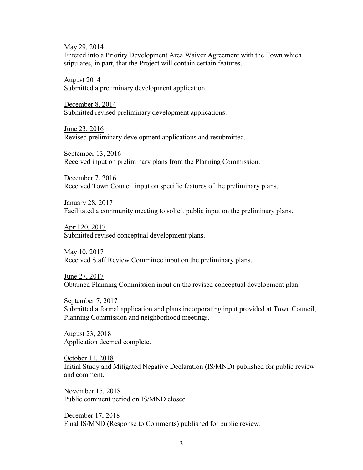May 29, 2014

Entered into a Priority Development Area Waiver Agreement with the Town which stipulates, in part, that the Project will contain certain features.

August 2014 Submitted a preliminary development application.

December 8, 2014 Submitted revised preliminary development applications.

June 23, 2016 Revised preliminary development applications and resubmitted.

September 13, 2016 Received input on preliminary plans from the Planning Commission.

December 7, 2016 Received Town Council input on specific features of the preliminary plans.

January 28, 2017 Facilitated a community meeting to solicit public input on the preliminary plans.

April 20, 2017 Submitted revised conceptual development plans.

May 10, 2017 Received Staff Review Committee input on the preliminary plans.

June 27, 2017 Obtained Planning Commission input on the revised conceptual development plan.

September 7, 2017 Submitted a formal application and plans incorporating input provided at Town Council, Planning Commission and neighborhood meetings.

August 23, 2018 Application deemed complete.

October 11, 2018 Initial Study and Mitigated Negative Declaration (IS/MND) published for public review and comment.

November 15, 2018 Public comment period on IS/MND closed.

December 17, 2018 Final IS/MND (Response to Comments) published for public review.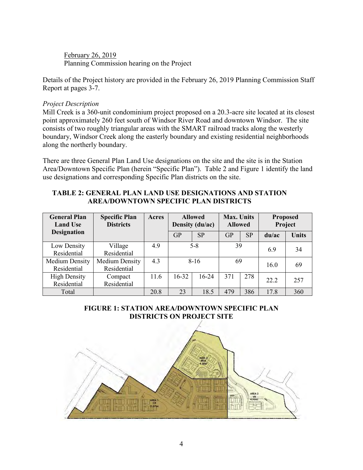February 26, 2019 Planning Commission hearing on the Project

Details of the Project history are provided in the February 26, 2019 Planning Commission Staff Report at pages 3-7.

### *Project Description*

Mill Creek is a 360-unit condominium project proposed on a 20.3-acre site located at its closest point approximately 260 feet south of Windsor River Road and downtown Windsor. The site consists of two roughly triangular areas with the SMART railroad tracks along the westerly boundary, Windsor Creek along the easterly boundary and existing residential neighborhoods along the northerly boundary.

There are three General Plan Land Use designations on the site and the site is in the Station Area/Downtown Specific Plan (herein "Specific Plan"). Table 2 and Figure 1 identify the land use designations and corresponding Specific Plan districts on the site.

### **TABLE 2: GENERAL PLAN LAND USE DESIGNATIONS AND STATION AREA/DOWNTOWN SPECIFIC PLAN DISTRICTS**

| <b>General Plan</b><br><b>Land Use</b> | <b>Specific Plan</b><br><b>Districts</b> | Acres | <b>Allowed</b><br>Density (du/ac) |           | <b>Max. Units</b><br><b>Allowed</b> |           | <b>Proposed</b><br>Project |              |
|----------------------------------------|------------------------------------------|-------|-----------------------------------|-----------|-------------------------------------|-----------|----------------------------|--------------|
| <b>Designation</b>                     |                                          |       | GP                                | <b>SP</b> | GP                                  | <b>SP</b> | du/ac                      | <b>Units</b> |
| Low Density<br>Residential             | Village<br>Residential                   | 4.9   |                                   | $5 - 8$   | 39                                  |           | 6.9                        | 34           |
| <b>Medium Density</b><br>Residential   | <b>Medium Density</b><br>Residential     | 4.3   | $8-16$                            |           | 69                                  |           | 16.0                       | 69           |
| <b>High Density</b><br>Residential     | Compact<br>Residential                   | 11.6  | 16-32                             | $16 - 24$ | 371                                 | 278       | 22.2                       | 257          |
| Total                                  |                                          | 20.8  | 23                                | 18.5      | 479                                 | 386       | 17.8                       | 360          |

## **FIGURE 1: STATION AREA/DOWNTOWN SPECIFIC PLAN DISTRICTS ON PROJECT SITE**

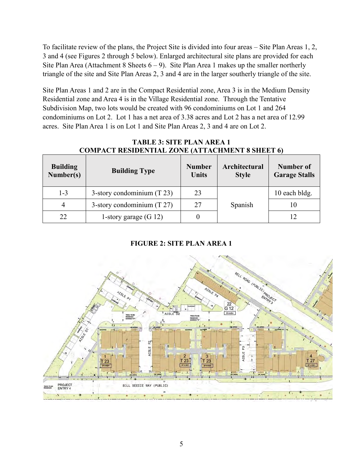To facilitate review of the plans, the Project Site is divided into four areas – Site Plan Areas 1, 2, 3 and 4 (see Figures 2 through 5 below). Enlarged architectural site plans are provided for each Site Plan Area (Attachment 8 Sheets  $6 - 9$ ). Site Plan Area 1 makes up the smaller northerly triangle of the site and Site Plan Areas 2, 3 and 4 are in the larger southerly triangle of the site.

Site Plan Areas 1 and 2 are in the Compact Residential zone, Area 3 is in the Medium Density Residential zone and Area 4 is in the Village Residential zone. Through the Tentative Subdivision Map, two lots would be created with 96 condominiums on Lot 1 and 264 condominiums on Lot 2. Lot 1 has a net area of 3.38 acres and Lot 2 has a net area of 12.99 acres. Site Plan Area 1 is on Lot 1 and Site Plan Areas 2, 3 and 4 are on Lot 2.

| <b>Building</b><br>Number(s) | <b>Building Type</b>         | <b>Number</b><br><b>Units</b> | Architectural<br><b>Style</b> | Number of<br><b>Garage Stalls</b> |
|------------------------------|------------------------------|-------------------------------|-------------------------------|-----------------------------------|
| $1 - 3$                      | 3-story condominium $(T 23)$ | 23                            |                               | 10 each bldg.                     |
| 4                            | 3-story condominium $(T 27)$ | 27                            | Spanish                       | 10                                |
| 22                           | 1-story garage $(G 12)$      |                               |                               | 12                                |

# **TABLE 3: SITE PLAN AREA 1 CIDENTIAL ZONE (ATTACHMENT 9 SHEET 6)**

# **FIGURE 2: SITE PLAN AREA 1**

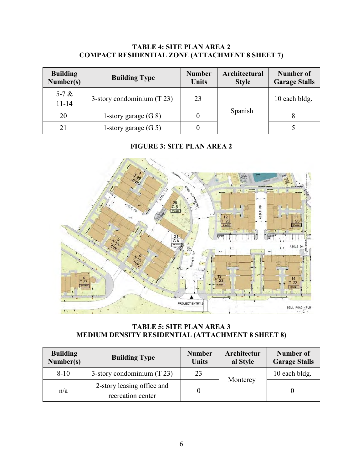## **TABLE 4: SITE PLAN AREA 2 COMPACT RESIDENTIAL ZONE (ATTACHMENT 8 SHEET 7)**

| <b>Building</b><br>Number(s) | <b>Building Type</b>         | <b>Number</b><br><b>Units</b> | Architectural<br><b>Style</b> | Number of<br><b>Garage Stalls</b> |
|------------------------------|------------------------------|-------------------------------|-------------------------------|-----------------------------------|
| 5-7 $\&$<br>$11 - 14$        | 3-story condominium $(T 23)$ | 23                            |                               | 10 each bldg.                     |
| 20                           | 1-story garage $(G 8)$       |                               | Spanish                       |                                   |
| 21                           | 1-story garage $(G 5)$       |                               |                               |                                   |

# **FIGURE 3: SITE PLAN AREA 2**



**TABLE 5: SITE PLAN AREA 3 MEDIUM DENSITY RESIDENTIAL (ATTACHMENT 8 SHEET 8)**

| <b>Building</b><br>Number(s) | <b>Building Type</b>                            | <b>Number</b><br><b>Units</b> | Architectur<br>al Style | Number of<br><b>Garage Stalls</b> |
|------------------------------|-------------------------------------------------|-------------------------------|-------------------------|-----------------------------------|
| $8-10$                       | 3-story condominium $(T 23)$                    | 23                            |                         | 10 each bldg.                     |
| n/a                          | 2-story leasing office and<br>recreation center |                               | Monterey                |                                   |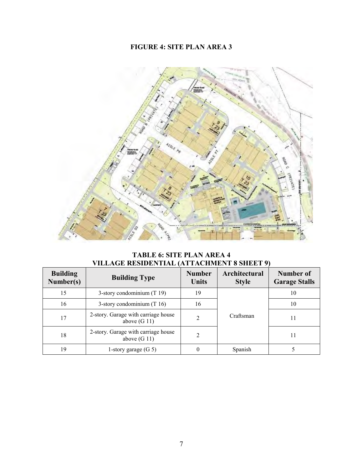# **FIGURE 4: SITE PLAN AREA 3**



**TABLE 6: SITE PLAN AREA 4 VILLAGE RESIDENTIAL (ATTACHMENT 8 SHEET 9)**

| <b>Building</b><br>Number(s) | <b>Building Type</b>                                  | <b>Number</b><br><b>Units</b> | Architectural<br><b>Style</b> | Number of<br><b>Garage Stalls</b> |
|------------------------------|-------------------------------------------------------|-------------------------------|-------------------------------|-----------------------------------|
| 15                           | 3-story condominium $(T 19)$                          | 19                            |                               | 10                                |
| 16                           | 3-story condominium $(T 16)$                          | 16                            |                               | 10                                |
| 17                           | 2-story. Garage with carriage house<br>above $(G 11)$ | 2                             | Craftsman                     | 11                                |
| 18                           | 2-story. Garage with carriage house<br>above $(G 11)$ | $\mathfrak{D}$                |                               | 11                                |
| 19                           | 1-story garage $(G 5)$                                |                               | Spanish                       |                                   |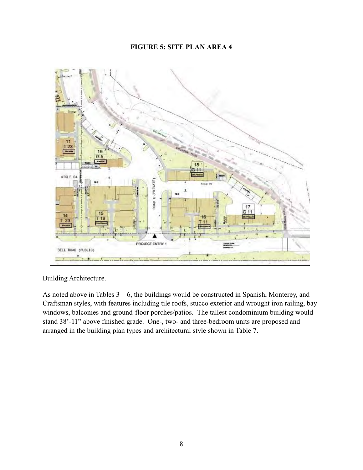## **FIGURE 5: SITE PLAN AREA 4**



Building Architecture.

As noted above in Tables  $3 - 6$ , the buildings would be constructed in Spanish, Monterey, and Craftsman styles, with features including tile roofs, stucco exterior and wrought iron railing, bay windows, balconies and ground-floor porches/patios. The tallest condominium building would stand 38'-11" above finished grade. One-, two- and three-bedroom units are proposed and arranged in the building plan types and architectural style shown in Table 7.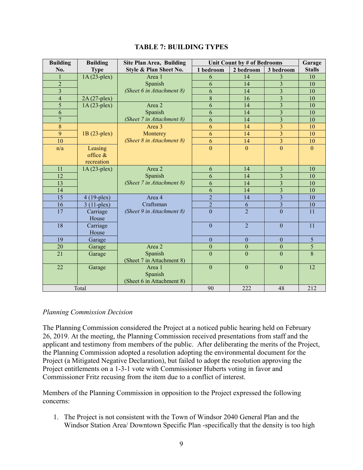| <b>Building</b> | <b>Building</b> | <b>Site Plan Area, Building</b> | Unit Count by # of Bedrooms |                  |                         | Garage        |
|-----------------|-----------------|---------------------------------|-----------------------------|------------------|-------------------------|---------------|
| No.             | <b>Type</b>     | Style & Plan Sheet No.          | 1 bedroom                   | 2 bedroom        | 3 bedroom               | <b>Stalls</b> |
| 1               | $1A(23-plex)$   | Area 1                          | 6                           | 14               | 3                       | 10            |
| $\overline{2}$  |                 | Spanish                         | 6                           | 14               | 3                       | 10            |
| $\overline{3}$  |                 | (Sheet 6 in Attachment 8)       | 6                           | 14               | $\overline{3}$          | 10            |
| $\overline{4}$  | $2A(27-plex)$   |                                 | 8                           | 16               | $\overline{3}$          | 10            |
| 5               | $1A(23-plex)$   | Area 2                          | 6                           | 14               | $\overline{3}$          | 10            |
| 6               |                 | Spanish                         | 6                           | 14               | $\overline{3}$          | 10            |
| $\overline{7}$  |                 | (Sheet 7 in Attachment 8)       | 6                           | 14               | $\overline{3}$          | 10            |
| 8               |                 | Area 3                          | 6                           | 14               | 3                       | 10            |
| 9               | 1B (23-plex)    | Monterey                        | 6                           | 14               | $\overline{3}$          | 10            |
| 10              |                 | (Sheet 8 in Attachment 8)       | 6                           | 14               | $\overline{3}$          | 10            |
| n/a             | Leasing         |                                 | $\overline{0}$              | $\overline{0}$   | $\theta$                | $\Omega$      |
|                 | office $\&$     |                                 |                             |                  |                         |               |
|                 | recreation      |                                 |                             |                  |                         |               |
| 11              | $1A(23-plex)$   | Area 2                          | 6                           | 14               | $\overline{3}$          | 10            |
| 12              |                 | Spanish                         | 6                           | 14               | $\overline{3}$          | 10            |
| 13              |                 | (Sheet 7 in Attachment 8)       | 6                           | 14               | $\overline{\mathbf{3}}$ | 10            |
| 14              |                 |                                 | 6                           | 14               | $\overline{\mathbf{3}}$ | 10            |
| $\overline{15}$ | $4(19$ -plex)   | Area 4                          | $\overline{2}$              | 14               | $\overline{\mathbf{3}}$ | 10            |
| 16              | $3(11-plex)$    | Craftsman                       | $\overline{2}$              | 6                | $\overline{\mathbf{3}}$ | 10            |
| 17              | Carriage        | (Sheet 9 in Attachment 8)       | $\overline{0}$              | $\overline{2}$   | $\overline{0}$          | 11            |
|                 | House           |                                 |                             |                  |                         |               |
| 18              | Carriage        |                                 | $\mathbf{0}$                | $\overline{2}$   | $\boldsymbol{0}$        | 11            |
|                 | House           |                                 |                             |                  |                         |               |
| 19              | Garage          |                                 | $\boldsymbol{0}$            | $\theta$         | $\theta$                | 5             |
| 20              | Garage          | Area 2                          | $\boldsymbol{0}$            | $\boldsymbol{0}$ | $\boldsymbol{0}$        | 5             |
| 21              | Garage          | Spanish                         | $\overline{0}$              | $\overline{0}$   | $\overline{0}$          | 8             |
|                 |                 | (Sheet 7 in Attachment 8)       |                             |                  |                         |               |
| 22              | Garage          | Area 1                          | $\overline{0}$              | $\overline{0}$   | $\overline{0}$          | 12            |
|                 |                 | Spanish                         |                             |                  |                         |               |
|                 |                 | (Sheet 6 in Attachment 8)       |                             |                  |                         |               |
| Total           |                 |                                 | 90                          | 222              | 48                      | 212           |

## *Planning Commission Decision*

The Planning Commission considered the Project at a noticed public hearing held on February 26, 2019. At the meeting, the Planning Commission received presentations from staff and the applicant and testimony from members of the public. After deliberating the merits of the Project, the Planning Commission adopted a resolution adopting the environmental document for the Project (a Mitigated Negative Declaration), but failed to adopt the resolution approving the Project entitlements on a 1-3-1 vote with Commissioner Huberts voting in favor and Commissioner Fritz recusing from the item due to a conflict of interest.

Members of the Planning Commission in opposition to the Project expressed the following concerns:

1. The Project is not consistent with the Town of Windsor 2040 General Plan and the Windsor Station Area/ Downtown Specific Plan -specifically that the density is too high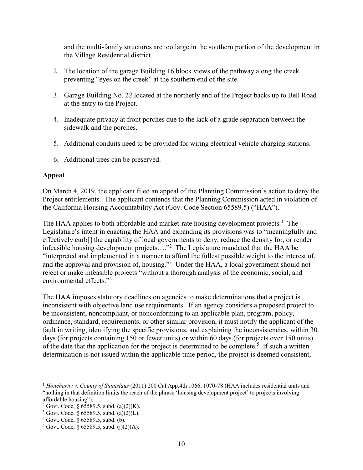and the multi-family structures are too large in the southern portion of the development in the Village Residential district.

- 2. The location of the garage Building 16 block views of the pathway along the creek preventing "eyes on the creek" at the southern end of the site.
- 3. Garage Building No. 22 located at the northerly end of the Project backs up to Bell Road at the entry to the Project.
- 4. Inadequate privacy at front porches due to the lack of a grade separation between the sidewalk and the porches.
- 5. Additional conduits need to be provided for wiring electrical vehicle charging stations.
- 6. Additional trees can be preserved.

## **Appeal**

On March 4, 2019, the applicant filed an appeal of the Planning Commission's action to deny the Project entitlements. The applicant contends that the Planning Commission acted in violation of the California Housing Accountability Act (Gov. Code Section 65589.5) ("HAA").

The HAA applies to both affordable and market-rate housing development projects.<sup>1</sup> The Legislature's intent in enacting the HAA and expanding its provisions was to "meaningfully and effectively curb[] the capability of local governments to deny, reduce the density for, or render infeasible housing development projects...."<sup>2</sup> The Legislature mandated that the HAA be "interpreted and implemented in a manner to afford the fullest possible weight to the interest of, and the approval and provision of, housing."<sup>3</sup> Under the HAA, a local government should not reject or make infeasible projects "without a thorough analysis of the economic, social, and environmental effects."<sup>4</sup>

The HAA imposes statutory deadlines on agencies to make determinations that a project is inconsistent with objective land use requirements. If an agency considers a proposed project to be inconsistent, noncompliant, or nonconforming to an applicable plan, program, policy, ordinance, standard, requirements, or other similar provision, it must notify the applicant of the fault in writing, identifying the specific provisions, and explaining the inconsistencies, within 30 days (for projects containing 150 or fewer units) or within 60 days (for projects over 150 units) of the date that the application for the project is determined to be complete.<sup>5</sup> If such a written determination is not issued within the applicable time period, the project is deemed consistent,

 $\overline{a}$ <sup>1</sup> *Honchariw v. County of Stanislaus* (2011) 200 Cal.App.4th 1066, 1070-78 (HAA includes residential units and "nothing in that definition limits the reach of the phrase 'housing development project' to projects involving affordable housing").

<sup>&</sup>lt;sup>2</sup> Govt. Code, § 65589.5, subd. (a)(2)(K).

<sup>3</sup> Govt. Code, § 65589.5, subd. (a)(2)(L).

<sup>4</sup> Govt. Code, § 65589.5, subd. (b).

 $5$  Govt. Code, § 65589.5, subd. (j)(2)(A).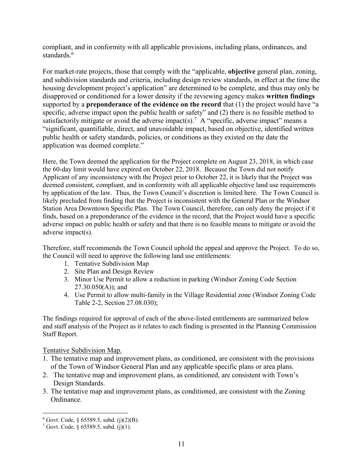compliant, and in conformity with all applicable provisions, including plans, ordinances, and standards.<sup>6</sup>

For market-rate projects, those that comply with the "applicable, **objective** general plan, zoning, and subdivision standards and criteria, including design review standards, in effect at the time the housing development project's application" are determined to be complete, and thus may only be disapproved or conditioned for a lower density if the reviewing agency makes **written findings** supported by a **preponderance of the evidence on the record** that (1) the project would have "a specific, adverse impact upon the public health or safety" and (2) there is no feasible method to satisfactorily mitigate or avoid the adverse impact(s).<sup>7</sup> A "specific, adverse impact" means a "significant, quantifiable, direct, and unavoidable impact, based on objective, identified written public health or safety standards, policies, or conditions as they existed on the date the application was deemed complete."

Here, the Town deemed the application for the Project complete on August 23, 2018, in which case the 60-day limit would have expired on October 22, 2018. Because the Town did not notify Applicant of any inconsistency with the Project prior to October 22, it is likely that the Project was deemed consistent, compliant, and in conformity with all applicable objective land use requirements by application of the law. Thus, the Town Council's discretion is limited here. The Town Council is likely precluded from finding that the Project is inconsistent with the General Plan or the Windsor Station Area Downtown Specific Plan. The Town Council, therefore, can only deny the project if it finds, based on a preponderance of the evidence in the record, that the Project would have a specific adverse impact on public health or safety and that there is no feasible means to mitigate or avoid the adverse impact(s).

Therefore, staff recommends the Town Council uphold the appeal and approve the Project. To do so, the Council will need to approve the following land use entitlements:

- 1. Tentative Subdivision Map
- 2. Site Plan and Design Review
- 3. Minor Use Permit to allow a reduction in parking (Windsor Zoning Code Section  $27.30.050(A)$ ; and
- 4. Use Permit to allow multi-family in the Village Residential zone (Windsor Zoning Code Table 2-2, Section 27.08.030);

The findings required for approval of each of the above-listed entitlements are summarized below and staff analysis of the Project as it relates to each finding is presented in the Planning Commission Staff Report.

Tentative Subdivision Map.

- 1. The tentative map and improvement plans, as conditioned, are consistent with the provisions of the Town of Windsor General Plan and any applicable specific plans or area plans.
- 2. The tentative map and improvement plans, as conditioned, are consistent with Town's Design Standards.
- 3. The tentative map and improvement plans, as conditioned, are consistent with the Zoning Ordinance.

 $\overline{a}$ 

 $6$  Govt. Code,  $§$  65589.5, subd. (j)(2)(B).

 $7$  Govt. Code,  $8$  65589.5, subd. (j)(1).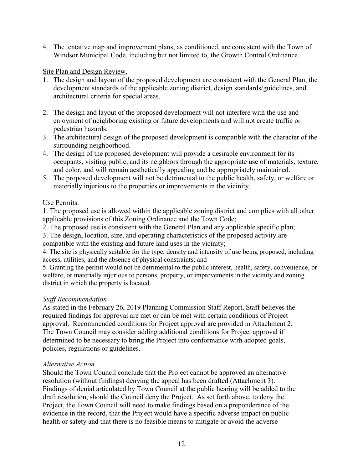4. The tentative map and improvement plans, as conditioned, are consistent with the Town of Windsor Municipal Code, including but not limited to, the Growth Control Ordinance.

### Site Plan and Design Review.

- 1. The design and layout of the proposed development are consistent with the General Plan, the development standards of the applicable zoning district, design standards/guidelines, and architectural criteria for special areas.
- 2. The design and layout of the proposed development will not interfere with the use and enjoyment of neighboring existing or future developments and will not create traffic or pedestrian hazards.
- 3. The architectural design of the proposed development is compatible with the character of the surrounding neighborhood.
- 4. The design of the proposed development will provide a desirable environment for its occupants, visiting public, and its neighbors through the appropriate use of materials, texture, and color, and will remain aesthetically appealing and be appropriately maintained.
- 5. The proposed development will not be detrimental to the public health, safety, or welfare or materially injurious to the properties or improvements in the vicinity.

### Use Permits.

1. The proposed use is allowed within the applicable zoning district and complies with all other applicable provisions of this Zoning Ordinance and the Town Code;

2. The proposed use is consistent with the General Plan and any applicable specific plan;

3. The design, location, size, and operating characteristics of the proposed activity are

compatible with the existing and future land uses in the vicinity;

4. The site is physically suitable for the type, density and intensity of use being proposed, including access, utilities, and the absence of physical constraints; and

5. Granting the permit would not be detrimental to the public interest, health, safety, convenience, or welfare, or materially injurious to persons, property, or improvements in the vicinity and zoning district in which the property is located.

## *Staff Recommendation*

As stated in the February 26, 2019 Planning Commission Staff Report, Staff believes the required findings for approval are met or can be met with certain conditions of Project approval. Recommended conditions for Project approval are provided in Attachment 2. The Town Council may consider adding additional conditions for Project approval if determined to be necessary to bring the Project into conformance with adopted goals, policies, regulations or guidelines.

### *Alternative Action*

Should the Town Council conclude that the Project cannot be approved an alternative resolution (without findings) denying the appeal has been drafted (Attachment 3). Findings of denial articulated by Town Council at the public hearing will be added to the draft resolution, should the Council deny the Project. As set forth above, to deny the Project, the Town Council will need to make findings based on a preponderance of the evidence in the record, that the Project would have a specific adverse impact on public health or safety and that there is no feasible means to mitigate or avoid the adverse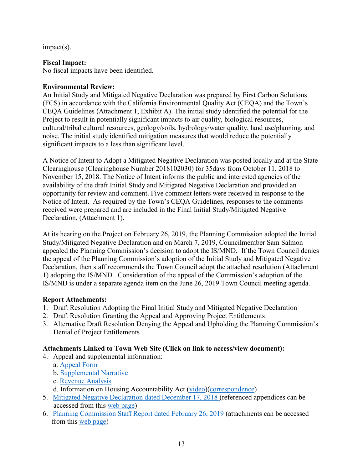impact(s).

## **Fiscal Impact:**

No fiscal impacts have been identified.

# **Environmental Review:**

An Initial Study and Mitigated Negative Declaration was prepared by First Carbon Solutions (FCS) in accordance with the California Environmental Quality Act (CEQA) and the Town's CEQA Guidelines (Attachment 1, Exhibit A). The initial study identified the potential for the Project to result in potentially significant impacts to air quality, biological resources, cultural/tribal cultural resources, geology/soils, hydrology/water quality, land use/planning, and noise. The initial study identified mitigation measures that would reduce the potentially significant impacts to a less than significant level.

A Notice of Intent to Adopt a Mitigated Negative Declaration was posted locally and at the State Clearinghouse (Clearinghouse Number 2018102030) for 35days from October 11, 2018 to November 15, 2018. The Notice of Intent informs the public and interested agencies of the availability of the draft Initial Study and Mitigated Negative Declaration and provided an opportunity for review and comment. Five comment letters were received in response to the Notice of Intent. As required by the Town's CEQA Guidelines, responses to the comments received were prepared and are included in the Final Initial Study/Mitigated Negative Declaration, (Attachment 1).

At its hearing on the Project on February 26, 2019, the Planning Commission adopted the Initial Study/Mitigated Negative Declaration and on March 7, 2019, Councilmember Sam Salmon appealed the Planning Commission's decision to adopt the IS/MND. If the Town Council denies the appeal of the Planning Commission's adoption of the Initial Study and Mitigated Negative Declaration, then staff recommends the Town Council adopt the attached resolution (Attachment 1) adopting the IS/MND. Consideration of the appeal of the Commission's adoption of the IS/MND is under a separate agenda item on the June 26, 2019 Town Council meeting agenda.

# **Report Attachments:**

- 1. Draft Resolution Adopting the Final Initial Study and Mitigated Negative Declaration
- 2. Draft Resolution Granting the Appeal and Approving Project Entitlements
- 3. Alternative Draft Resolution Denying the Appeal and Upholding the Planning Commission's Denial of Project Entitlements

# **Attachments Linked to Town Web Site (Click on link to access/view document):**

- 4. Appeal and supplemental information:
	- a. [Appeal Form](https://www.townofwindsor.com/DocumentCenter/View/22759/Mill-Creek-Developer-Appeal-Part-1)
	- b. [Supplemental Narrative](https://www.townofwindsor.com/DocumentCenter/View/22760/Mill-Creek-Developer-Appeal-Part-2)
	- c. [Revenue Analysis](https://www.townofwindsor.com/DocumentCenter/View/22761/Mill-Creek-Revenue-Analysis-April-4-2019)
	- d. Information on Housing Accountability Act [\(video\)](https://www.townofwindsor.com/DocumentCenter/View/22766/California-Housing-Presentation)[\(correspondence\)](https://www.townofwindsor.com/DocumentCenter/View/22765/Mill-Creek-Developer-Appeal-Supplemental-Submission)
- 5. [Mitigated Negative Declaration dated December 17, 2018](https://www.townofwindsor.com/DocumentCenter/View/21887/Final-Initial-Study-Mitigated-Negative-DeclarationResponse-to-Comments) (referenced appendices can be accessed from this [web page\)](https://www.townofwindsor.com/1155/Mill-Creek-Development)
- 6. [Planning Commission Staff Report dated February 26, 2019](https://www.townofwindsor.com/DocumentCenter/View/22141/Staff-Report---Mill-Creek-Development-02262019) (attachments can be accessed from this [web page\)](https://www.townofwindsor.com/1155/Mill-Creek-Development)